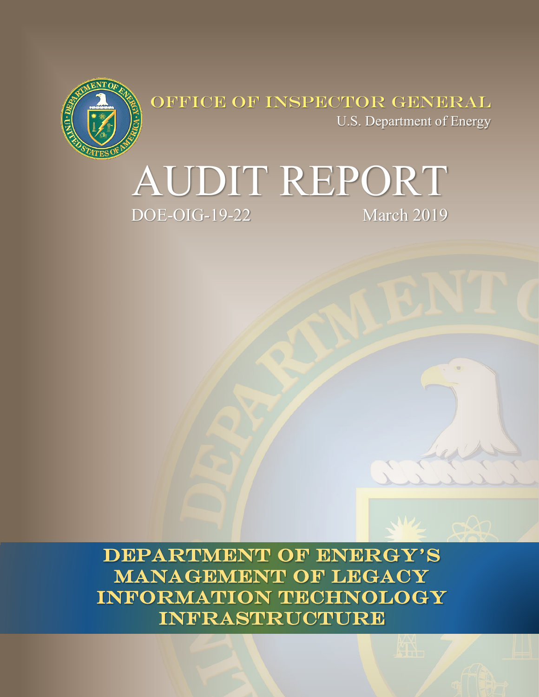

OFFICE OF INSPECTOR GENERAL U.S. Department of Energy



**DEPARTMENT OF ENERGY'S MANAGEMENT OF LEGACY INFORMATION TECHNOLOGY INFRASTRUCTURE**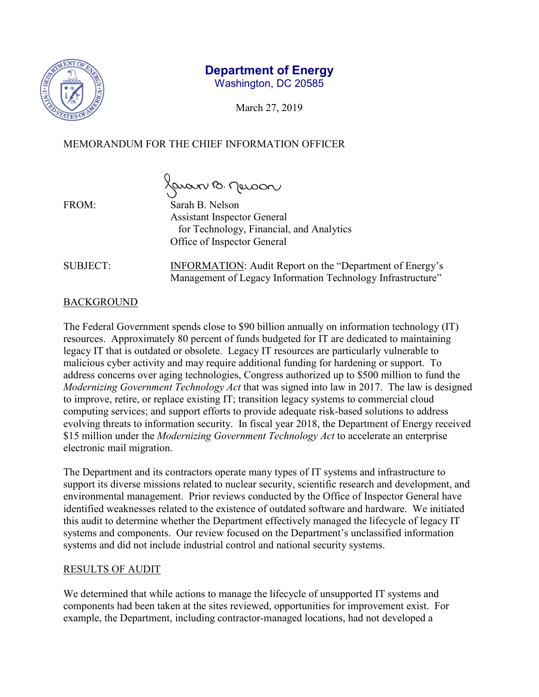

# **Department of Energy**

Washington, DC 20585

March 27, 2019

# MEMORANDUM FOR THE CHIEF INFORMATION OFFICER

Javan B. Jerson

FROM: Sarah B. Nelson Assistant Inspector General for Technology, Financial, and Analytics Office of Inspector General

SUBJECT: INFORMATION: Audit Report on the "Department of Energy's Management of Legacy Information Technology Infrastructure"

# **BACKGROUND**

The Federal Government spends close to \$90 billion annually on information technology (IT) resources. Approximately 80 percent of funds budgeted for IT are dedicated to maintaining legacy IT that is outdated or obsolete. Legacy IT resources are particularly vulnerable to malicious cyber activity and may require additional funding for hardening or support. To address concerns over aging technologies, Congress authorized up to \$500 million to fund the *Modernizing Government Technology Act* that was signed into law in 2017. The law is designed to improve, retire, or replace existing IT; transition legacy systems to commercial cloud computing services; and support efforts to provide adequate risk-based solutions to address evolving threats to information security. In fiscal year 2018, the Department of Energy received \$15 million under the *Modernizing Government Technology Act* to accelerate an enterprise electronic mail migration.

The Department and its contractors operate many types of IT systems and infrastructure to support its diverse missions related to nuclear security, scientific research and development, and environmental management. Prior reviews conducted by the Office of Inspector General have identified weaknesses related to the existence of outdated software and hardware. We initiated this audit to determine whether the Department effectively managed the lifecycle of legacy IT systems and components. Our review focused on the Department's unclassified information systems and did not include industrial control and national security systems.

# RESULTS OF AUDIT

We determined that while actions to manage the lifecycle of unsupported IT systems and components had been taken at the sites reviewed, opportunities for improvement exist. For example, the Department, including contractor-managed locations, had not developed a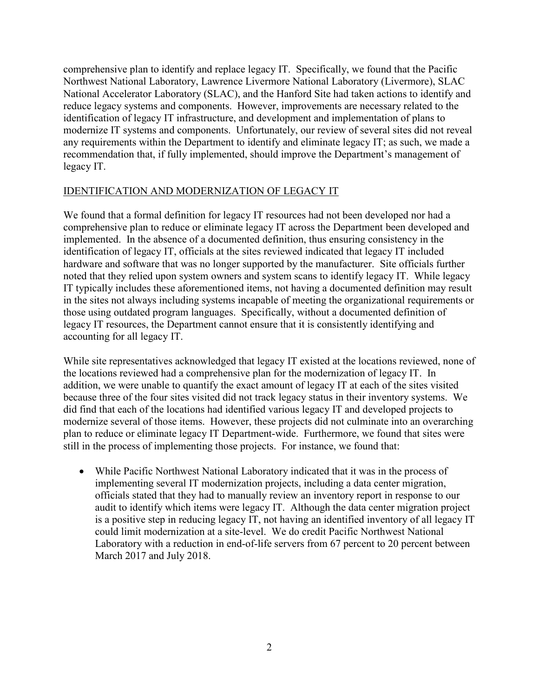comprehensive plan to identify and replace legacy IT. Specifically, we found that the Pacific Northwest National Laboratory, Lawrence Livermore National Laboratory (Livermore), SLAC National Accelerator Laboratory (SLAC), and the Hanford Site had taken actions to identify and reduce legacy systems and components. However, improvements are necessary related to the identification of legacy IT infrastructure, and development and implementation of plans to modernize IT systems and components. Unfortunately, our review of several sites did not reveal any requirements within the Department to identify and eliminate legacy IT; as such, we made a recommendation that, if fully implemented, should improve the Department's management of legacy IT.

#### IDENTIFICATION AND MODERNIZATION OF LEGACY IT

We found that a formal definition for legacy IT resources had not been developed nor had a comprehensive plan to reduce or eliminate legacy IT across the Department been developed and implemented. In the absence of a documented definition, thus ensuring consistency in the identification of legacy IT, officials at the sites reviewed indicated that legacy IT included hardware and software that was no longer supported by the manufacturer. Site officials further noted that they relied upon system owners and system scans to identify legacy IT. While legacy IT typically includes these aforementioned items, not having a documented definition may result in the sites not always including systems incapable of meeting the organizational requirements or those using outdated program languages. Specifically, without a documented definition of legacy IT resources, the Department cannot ensure that it is consistently identifying and accounting for all legacy IT.

While site representatives acknowledged that legacy IT existed at the locations reviewed, none of the locations reviewed had a comprehensive plan for the modernization of legacy IT. In addition, we were unable to quantify the exact amount of legacy IT at each of the sites visited because three of the four sites visited did not track legacy status in their inventory systems. We did find that each of the locations had identified various legacy IT and developed projects to modernize several of those items. However, these projects did not culminate into an overarching plan to reduce or eliminate legacy IT Department-wide. Furthermore, we found that sites were still in the process of implementing those projects. For instance, we found that:

• While Pacific Northwest National Laboratory indicated that it was in the process of implementing several IT modernization projects, including a data center migration, officials stated that they had to manually review an inventory report in response to our audit to identify which items were legacy IT. Although the data center migration project is a positive step in reducing legacy IT, not having an identified inventory of all legacy IT could limit modernization at a site-level. We do credit Pacific Northwest National Laboratory with a reduction in end-of-life servers from 67 percent to 20 percent between March 2017 and July 2018.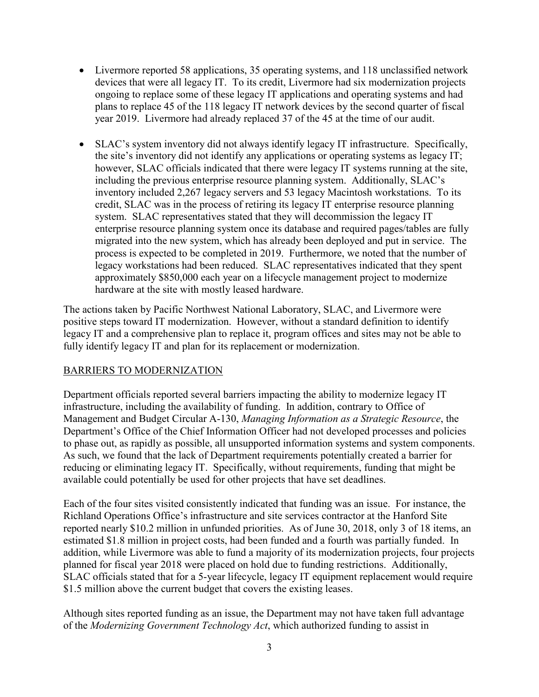- Livermore reported 58 applications, 35 operating systems, and 118 unclassified network devices that were all legacy IT. To its credit, Livermore had six modernization projects ongoing to replace some of these legacy IT applications and operating systems and had plans to replace 45 of the 118 legacy IT network devices by the second quarter of fiscal year 2019. Livermore had already replaced 37 of the 45 at the time of our audit.
- SLAC's system inventory did not always identify legacy IT infrastructure. Specifically, the site's inventory did not identify any applications or operating systems as legacy IT; however, SLAC officials indicated that there were legacy IT systems running at the site, including the previous enterprise resource planning system. Additionally, SLAC's inventory included 2,267 legacy servers and 53 legacy Macintosh workstations. To its credit, SLAC was in the process of retiring its legacy IT enterprise resource planning system. SLAC representatives stated that they will decommission the legacy IT enterprise resource planning system once its database and required pages/tables are fully migrated into the new system, which has already been deployed and put in service. The process is expected to be completed in 2019. Furthermore, we noted that the number of legacy workstations had been reduced. SLAC representatives indicated that they spent approximately \$850,000 each year on a lifecycle management project to modernize hardware at the site with mostly leased hardware.

The actions taken by Pacific Northwest National Laboratory, SLAC, and Livermore were positive steps toward IT modernization. However, without a standard definition to identify legacy IT and a comprehensive plan to replace it, program offices and sites may not be able to fully identify legacy IT and plan for its replacement or modernization.

#### BARRIERS TO MODERNIZATION

Department officials reported several barriers impacting the ability to modernize legacy IT infrastructure, including the availability of funding. In addition, contrary to Office of Management and Budget Circular A-130, *Managing Information as a Strategic Resource*, the Department's Office of the Chief Information Officer had not developed processes and policies to phase out, as rapidly as possible, all unsupported information systems and system components. As such, we found that the lack of Department requirements potentially created a barrier for reducing or eliminating legacy IT. Specifically, without requirements, funding that might be available could potentially be used for other projects that have set deadlines.

Each of the four sites visited consistently indicated that funding was an issue. For instance, the Richland Operations Office's infrastructure and site services contractor at the Hanford Site reported nearly \$10.2 million in unfunded priorities. As of June 30, 2018, only 3 of 18 items, an estimated \$1.8 million in project costs, had been funded and a fourth was partially funded. In addition, while Livermore was able to fund a majority of its modernization projects, four projects planned for fiscal year 2018 were placed on hold due to funding restrictions. Additionally, SLAC officials stated that for a 5-year lifecycle, legacy IT equipment replacement would require \$1.5 million above the current budget that covers the existing leases.

Although sites reported funding as an issue, the Department may not have taken full advantage of the *Modernizing Government Technology Act*, which authorized funding to assist in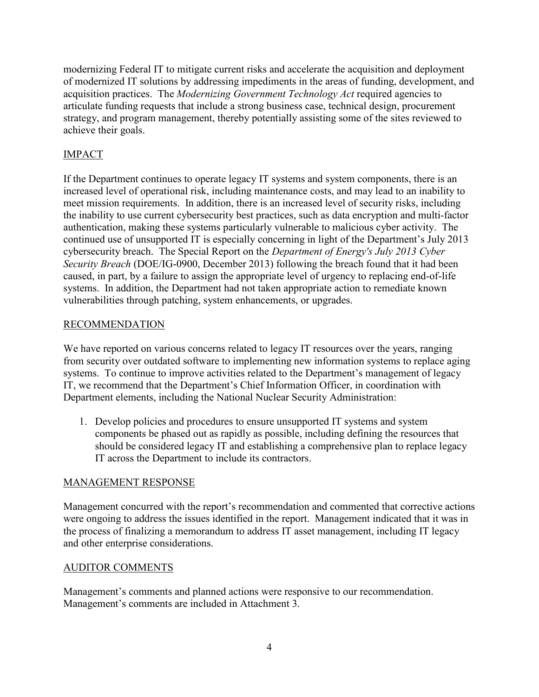modernizing Federal IT to mitigate current risks and accelerate the acquisition and deployment of modernized IT solutions by addressing impediments in the areas of funding, development, and acquisition practices. The *Modernizing Government Technology Act* required agencies to articulate funding requests that include a strong business case, technical design, procurement strategy, and program management, thereby potentially assisting some of the sites reviewed to achieve their goals.

# IMPACT

If the Department continues to operate legacy IT systems and system components, there is an increased level of operational risk, including maintenance costs, and may lead to an inability to meet mission requirements. In addition, there is an increased level of security risks, including the inability to use current cybersecurity best practices, such as data encryption and multi-factor authentication, making these systems particularly vulnerable to malicious cyber activity. The continued use of unsupported IT is especially concerning in light of the Department's July 2013 cybersecurity breach. The Special Report on the *Department of Energy's July 2013 Cyber Security Breach* (DOE/IG-0900, December 2013) following the breach found that it had been caused, in part, by a failure to assign the appropriate level of urgency to replacing end-of-life systems. In addition, the Department had not taken appropriate action to remediate known vulnerabilities through patching, system enhancements, or upgrades.

### RECOMMENDATION

We have reported on various concerns related to legacy IT resources over the years, ranging from security over outdated software to implementing new information systems to replace aging systems. To continue to improve activities related to the Department's management of legacy IT, we recommend that the Department's Chief Information Officer, in coordination with Department elements, including the National Nuclear Security Administration:

1. Develop policies and procedures to ensure unsupported IT systems and system components be phased out as rapidly as possible, including defining the resources that should be considered legacy IT and establishing a comprehensive plan to replace legacy IT across the Department to include its contractors.

# MANAGEMENT RESPONSE

Management concurred with the report's recommendation and commented that corrective actions were ongoing to address the issues identified in the report. Management indicated that it was in the process of finalizing a memorandum to address IT asset management, including IT legacy and other enterprise considerations.

#### AUDITOR COMMENTS

Management's comments and planned actions were responsive to our recommendation. Management's comments are included in Attachment 3.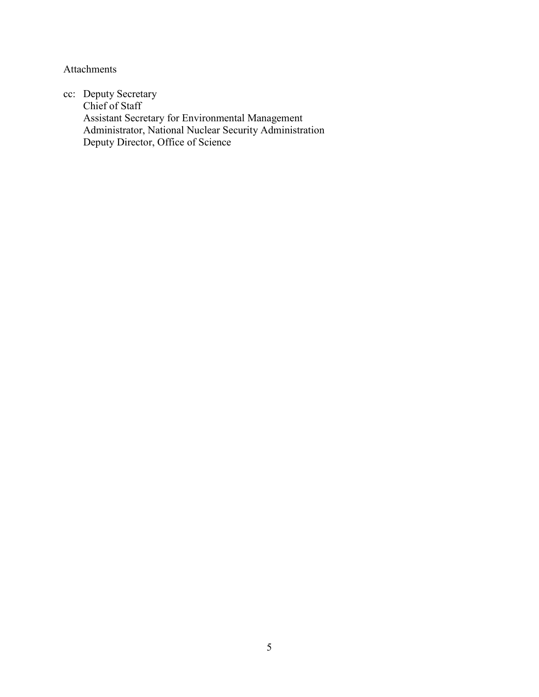Attachments

cc: Deputy Secretary Chief of Staff Assistant Secretary for Environmental Management Administrator, National Nuclear Security Administration Deputy Director, Office of Science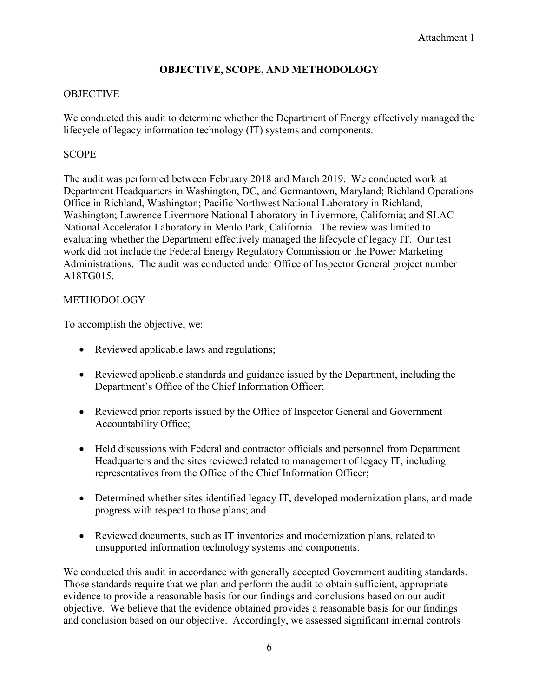# **OBJECTIVE, SCOPE, AND METHODOLOGY**

### **OBJECTIVE**

We conducted this audit to determine whether the Department of Energy effectively managed the lifecycle of legacy information technology (IT) systems and components.

### SCOPE

The audit was performed between February 2018 and March 2019. We conducted work at Department Headquarters in Washington, DC, and Germantown, Maryland; Richland Operations Office in Richland, Washington; Pacific Northwest National Laboratory in Richland, Washington; Lawrence Livermore National Laboratory in Livermore, California; and SLAC National Accelerator Laboratory in Menlo Park, California. The review was limited to evaluating whether the Department effectively managed the lifecycle of legacy IT. Our test work did not include the Federal Energy Regulatory Commission or the Power Marketing Administrations. The audit was conducted under Office of Inspector General project number A18TG015.

#### **METHODOLOGY**

To accomplish the objective, we:

- Reviewed applicable laws and regulations;
- Reviewed applicable standards and guidance issued by the Department, including the Department's Office of the Chief Information Officer;
- Reviewed prior reports issued by the Office of Inspector General and Government Accountability Office;
- Held discussions with Federal and contractor officials and personnel from Department Headquarters and the sites reviewed related to management of legacy IT, including representatives from the Office of the Chief Information Officer;
- Determined whether sites identified legacy IT, developed modernization plans, and made progress with respect to those plans; and
- Reviewed documents, such as IT inventories and modernization plans, related to unsupported information technology systems and components.

We conducted this audit in accordance with generally accepted Government auditing standards. Those standards require that we plan and perform the audit to obtain sufficient, appropriate evidence to provide a reasonable basis for our findings and conclusions based on our audit objective. We believe that the evidence obtained provides a reasonable basis for our findings and conclusion based on our objective. Accordingly, we assessed significant internal controls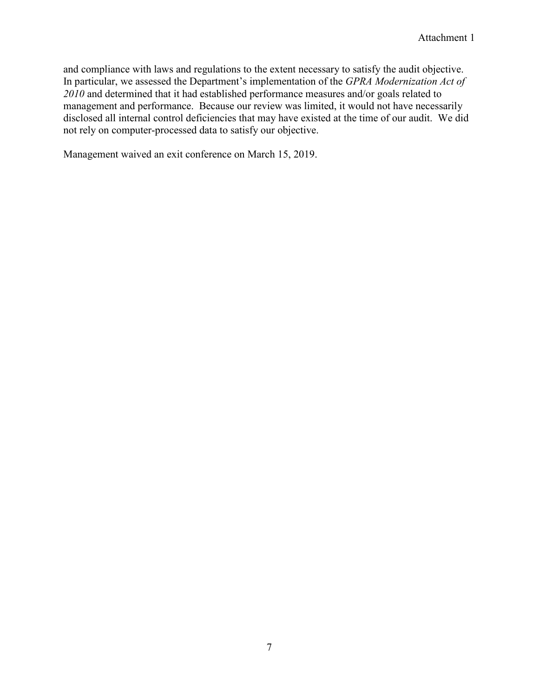and compliance with laws and regulations to the extent necessary to satisfy the audit objective. In particular, we assessed the Department's implementation of the *GPRA Modernization Act of 2010* and determined that it had established performance measures and/or goals related to management and performance. Because our review was limited, it would not have necessarily disclosed all internal control deficiencies that may have existed at the time of our audit. We did not rely on computer-processed data to satisfy our objective.

Management waived an exit conference on March 15, 2019.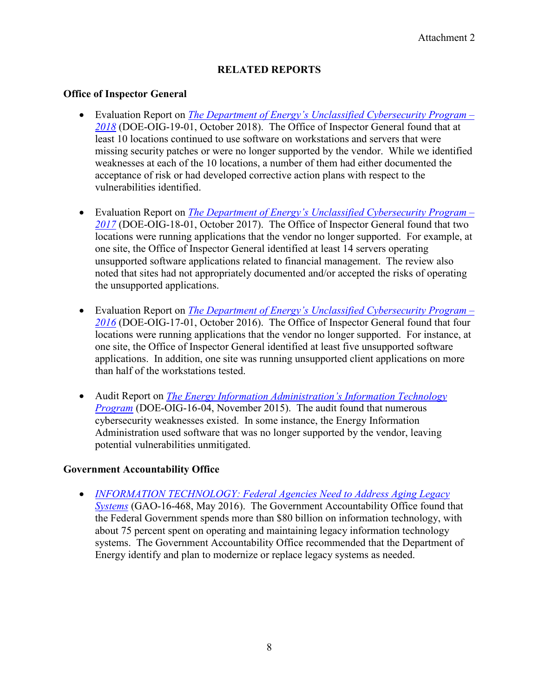# **RELATED REPORTS**

#### **Office of Inspector General**

- Evaluation Report on *[The Department of Energy's Unclassified Cybersecurity Program –](https://www.energy.gov/ig/downloads/evaluation-report-doe-oig-19-01) [2018](https://www.energy.gov/ig/downloads/evaluation-report-doe-oig-19-01)* (DOE-OIG-19-01, October 2018). The Office of Inspector General found that at least 10 locations continued to use software on workstations and servers that were missing security patches or were no longer supported by the vendor. While we identified weaknesses at each of the 10 locations, a number of them had either documented the acceptance of risk or had developed corrective action plans with respect to the vulnerabilities identified.
- Evaluation Report on *[The Department of Energy's Unclassified Cybersecurity Program –](https://www.energy.gov/ig/downloads/evaluation-report-doe-oig-18-01) [2017](https://www.energy.gov/ig/downloads/evaluation-report-doe-oig-18-01)* (DOE-OIG-18-01, October 2017). The Office of Inspector General found that two locations were running applications that the vendor no longer supported. For example, at one site, the Office of Inspector General identified at least 14 servers operating unsupported software applications related to financial management. The review also noted that sites had not appropriately documented and/or accepted the risks of operating the unsupported applications.
- Evaluation Report on *[The Department of Energy's Unclassified Cybersecurity Program –](https://www.energy.gov/ig/downloads/evaluation-report-doe-oig-17-01) [2016](https://www.energy.gov/ig/downloads/evaluation-report-doe-oig-17-01)* (DOE-OIG-17-01, October 2016). The Office of Inspector General found that four locations were running applications that the vendor no longer supported. For instance, at one site, the Office of Inspector General identified at least five unsupported software applications. In addition, one site was running unsupported client applications on more than half of the workstations tested.
- Audit Report on *[The Energy Information Administration's Information Technology](https://www.energy.gov/ig/downloads/audit-report-doe-oig-16-04)  [Program](https://www.energy.gov/ig/downloads/audit-report-doe-oig-16-04)* (DOE-OIG-16-04, November 2015). The audit found that numerous cybersecurity weaknesses existed. In some instance, the Energy Information Administration used software that was no longer supported by the vendor, leaving potential vulnerabilities unmitigated.

#### **Government Accountability Office**

• *[INFORMATION TECHNOLOGY: Federal Agencies Need to Address Aging Legacy](https://www.gao.gov/products/GAO-16-468)  [Systems](https://www.gao.gov/products/GAO-16-468)* (GAO-16-468, May 2016). The Government Accountability Office found that the Federal Government spends more than \$80 billion on information technology, with about 75 percent spent on operating and maintaining legacy information technology systems. The Government Accountability Office recommended that the Department of Energy identify and plan to modernize or replace legacy systems as needed.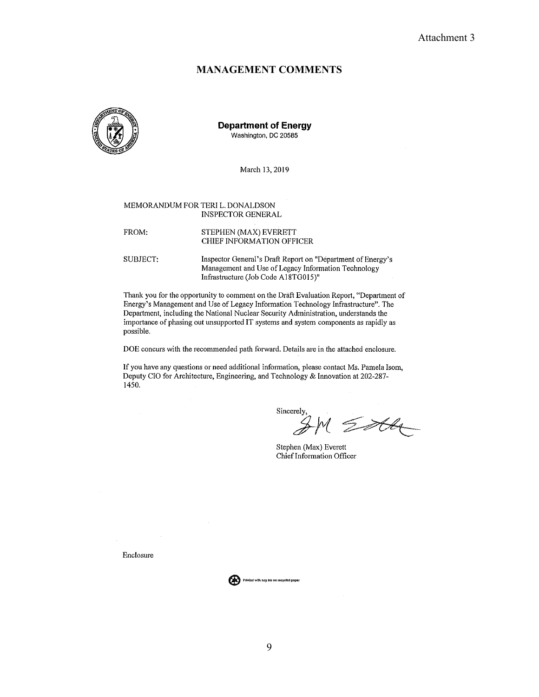#### **MANAGEMENT COMMENTS**



**Department of Energy** Washington, DC 20585

March 13, 2019

#### MEMORANDUM FOR TERI L. DONALDSON **INSPECTOR GENERAL**

| FROM: | STEPHEN (MAX) EVERETT     |
|-------|---------------------------|
|       | CHIEF INFORMATION OFFICER |

SUBJECT: Inspector General's Draft Report on "Department of Energy's Management and Use of Legacy Information Technology Infrastructure (Job Code A18TG015)"

Thank you for the opportunity to comment on the Draft Evaluation Report, "Department of Energy's Management and Use of Legacy Information Technology Infrastructure". The Department, including the National Nuclear Security Administration, understands the importance of phasing out unsupported IT systems and system components as rapidly as possible.

DOE concurs with the recommended path forward. Details are in the attached enclosure.

If you have any questions or need additional information, please contact Ms. Pamela Isom, Deputy CIO for Architecture, Engineering, and Technology & Innovation at 202-287- $1450.$ 

Sincerely

 $Z^{\text{AA}}$ 

Stephen (Max) Everett Chief Information Officer

Enclosure

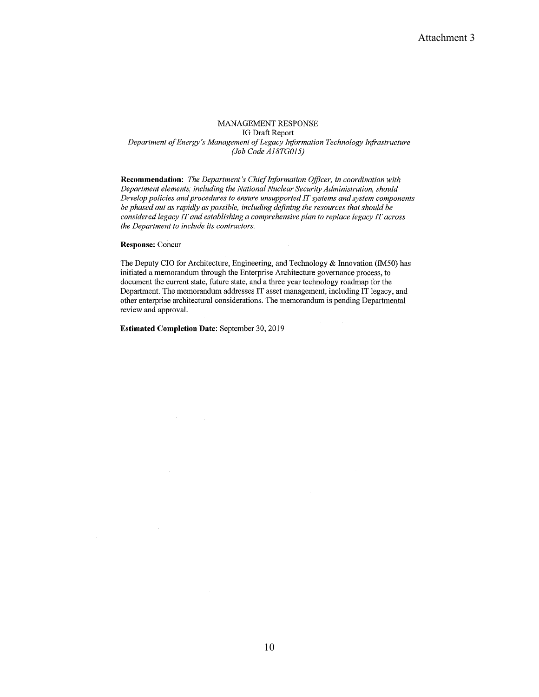#### MANAGEMENT RESPONSE **IG Draft Report** Department of Energy's Management of Legacy Information Technology Infrastructure (Job Code A18TG015)

Recommendation: The Department's Chief Information Officer, in coordination with Department elements, including the National Nuclear Security Administration, should Develop policies and procedures to ensure unsupported IT systems and system components be phased out as rapidly as possible, including defining the resources that should be considered legacy IT and establishing a comprehensive plan to replace legacy IT across the Department to include its contractors.

#### Response: Concur

The Deputy CIO for Architecture, Engineering, and Technology & Innovation (IM50) has initiated a memorandum through the Enterprise Architecture governance process, to document the current state, future state, and a three year technology roadmap for the Department. The memorandum addresses IT asset management, including IT legacy, and other enterprise architectural considerations. The memorandum is pending Departmental review and approval.

**Estimated Completion Date: September 30, 2019**